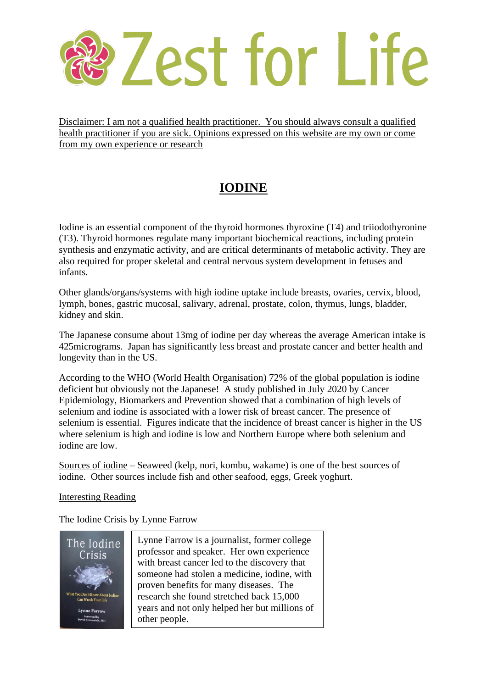## Zest for Life

Disclaimer: I am not a qualified health practitioner. You should always consult a qualified health practitioner if you are sick. Opinions expressed on this website are my own or come from my own experience or research

## **IODINE**

Iodine is an essential component of the thyroid hormones thyroxine (T4) and triiodothyronine (T3). Thyroid hormones regulate many important biochemical reactions, including protein synthesis and enzymatic activity, and are critical determinants of metabolic activity. They are also required for proper skeletal and central nervous system development in fetuses and infants.

Other glands/organs/systems with high iodine uptake include breasts, ovaries, cervix, blood, lymph, bones, gastric mucosal, salivary, adrenal, prostate, colon, thymus, lungs, bladder, kidney and skin.

The Japanese consume about 13mg of iodine per day whereas the average American intake is 425micrograms. Japan has significantly less breast and prostate cancer and better health and longevity than in the US.

According to the WHO (World Health Organisation) 72% of the global population is iodine deficient but obviously not the Japanese! A study published in July 2020 by Cancer Epidemiology, Biomarkers and Prevention showed that a combination of high levels of selenium and iodine is associated with a lower risk of breast cancer. The presence of selenium is essential. Figures indicate that the incidence of breast cancer is higher in the US where selenium is high and iodine is low and Northern Europe where both selenium and iodine are low.

Sources of iodine – Seaweed (kelp, nori, kombu, wakame) is one of the best sources of iodine. Other sources include fish and other seafood, eggs, Greek yoghurt.

### Interesting Reading

The Iodine Crisis by Lynne Farrow



Lynne Farrow is a journalist, former college professor and speaker. Her own experience with breast cancer led to the discovery that someone had stolen a medicine, iodine, with proven benefits for many diseases. The research she found stretched back 15,000 years and not only helped her but millions of other people.